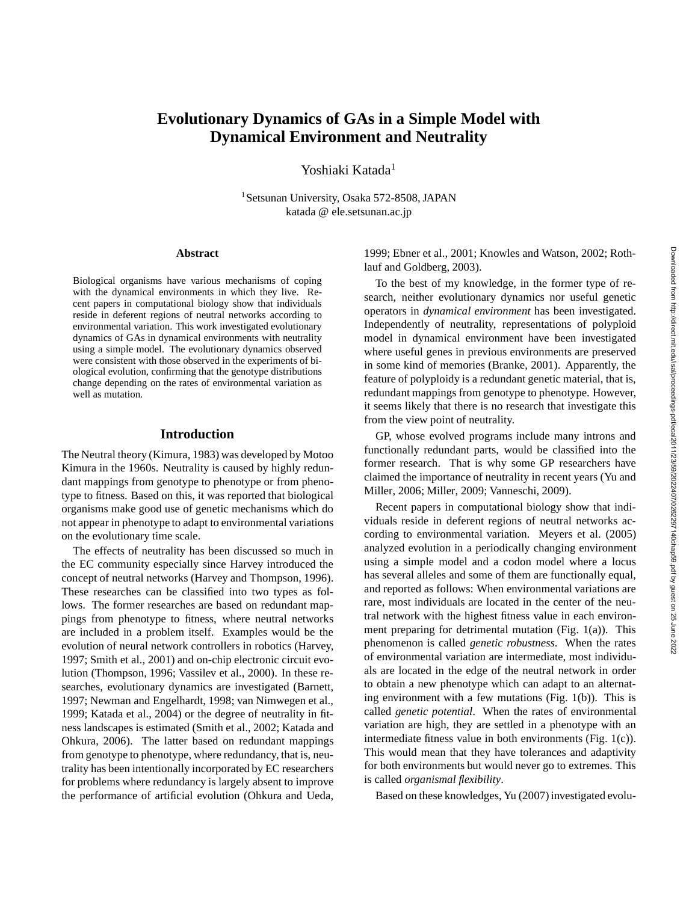# **Evolutionary Dynamics of GAs in a Simple Model with Dynamical Environment and Neutrality**

Yoshiaki Katada<sup>1</sup>

<sup>1</sup>Setsunan University, Osaka 572-8508, JAPAN katada @ ele.setsunan.ac.jp

#### **Abstract**

Biological organisms have various mechanisms of coping with the dynamical environments in which they live. Recent papers in computational biology show that individuals reside in deferent regions of neutral networks according to environmental variation. This work investigated evolutionary dynamics of GAs in dynamical environments with neutrality using a simple model. The evolutionary dynamics observed were consistent with those observed in the experiments of biological evolution, confirming that the genotype distributions change depending on the rates of environmental variation as well as mutation.

#### **Introduction**

The Neutral theory (Kimura, 1983) was developed by Motoo Kimura in the 1960s. Neutrality is caused by highly redundant mappings from genotype to phenotype or from phenotype to fitness. Based on this, it was reported that biological organisms make good use of genetic mechanisms which do not appear in phenotype to adapt to environmental variations on the evolutionary time scale.

The effects of neutrality has been discussed so much in the EC community especially since Harvey introduced the concept of neutral networks (Harvey and Thompson, 1996). These researches can be classified into two types as follows. The former researches are based on redundant mappings from phenotype to fitness, where neutral networks are included in a problem itself. Examples would be the evolution of neural network controllers in robotics (Harvey, 1997; Smith et al., 2001) and on-chip electronic circuit evolution (Thompson, 1996; Vassilev et al., 2000). In these researches, evolutionary dynamics are investigated (Barnett, 1997; Newman and Engelhardt, 1998; van Nimwegen et al., 1999; Katada et al., 2004) or the degree of neutrality in fitness landscapes is estimated (Smith et al., 2002; Katada and Ohkura, 2006). The latter based on redundant mappings from genotype to phenotype, where redundancy, that is, neutrality has been intentionally incorporated by EC researchers for problems where redundancy is largely absent to improve the performance of artificial evolution (Ohkura and Ueda,

1999; Ebner et al., 2001; Knowles and Watson, 2002; Rothlauf and Goldberg, 2003).

To the best of my knowledge, in the former type of research, neither evolutionary dynamics nor useful genetic operators in *dynamical environment* has been investigated. Independently of neutrality, representations of polyploid model in dynamical environment have been investigated where useful genes in previous environments are preserved in some kind of memories (Branke, 2001). Apparently, the feature of polyploidy is a redundant genetic material, that is, redundant mappings from genotype to phenotype. However, it seems likely that there is no research that investigate this from the view point of neutrality.

GP, whose evolved programs include many introns and functionally redundant parts, would be classified into the former research. That is why some GP researchers have claimed the importance of neutrality in recent years (Yu and Miller, 2006; Miller, 2009; Vanneschi, 2009).

Recent papers in computational biology show that individuals reside in deferent regions of neutral networks according to environmental variation. Meyers et al. (2005) analyzed evolution in a periodically changing environment using a simple model and a codon model where a locus has several alleles and some of them are functionally equal, and reported as follows: When environmental variations are rare, most individuals are located in the center of the neutral network with the highest fitness value in each environment preparing for detrimental mutation (Fig. 1(a)). This phenomenon is called *genetic robustness*. When the rates of environmental variation are intermediate, most individuals are located in the edge of the neutral network in order to obtain a new phenotype which can adapt to an alternating environment with a few mutations (Fig. 1(b)). This is called *genetic potential*. When the rates of environmental variation are high, they are settled in a phenotype with an intermediate fitness value in both environments (Fig. 1(c)). This would mean that they have tolerances and adaptivity for both environments but would never go to extremes. This is called *organismal flexibility*.

Based on these knowledges, Yu (2007) investigated evolu-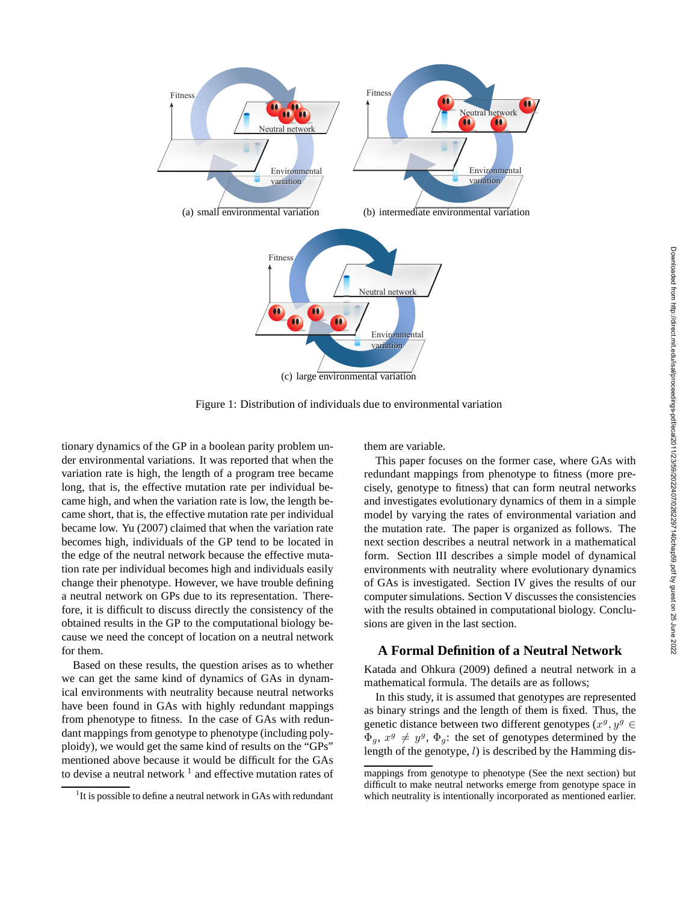

Figure 1: Distribution of individuals due to environmental variation

tionary dynamics of the GP in a boolean parity problem under environmental variations. It was reported that when the variation rate is high, the length of a program tree became long, that is, the effective mutation rate per individual became high, and when the variation rate is low, the length became short, that is, the effective mutation rate per individual became low. Yu (2007) claimed that when the variation rate becomes high, individuals of the GP tend to be located in the edge of the neutral network because the effective mutation rate per individual becomes high and individuals easily change their phenotype. However, we have trouble defining a neutral network on GPs due to its representation. Therefore, it is difficult to discuss directly the consistency of the obtained results in the GP to the computational biology because we need the concept of location on a neutral network for them.

Based on these results, the question arises as to whether we can get the same kind of dynamics of GAs in dynamical environments with neutrality because neutral networks have been found in GAs with highly redundant mappings from phenotype to fitness. In the case of GAs with redundant mappings from genotype to phenotype (including polyploidy), we would get the same kind of results on the "GPs" mentioned above because it would be difficult for the GAs to devise a neutral network  $<sup>1</sup>$  and effective mutation rates of</sup>

them are variable.

This paper focuses on the former case, where GAs with redundant mappings from phenotype to fitness (more precisely, genotype to fitness) that can form neutral networks and investigates evolutionary dynamics of them in a simple model by varying the rates of environmental variation and the mutation rate. The paper is organized as follows. The next section describes a neutral network in a mathematical form. Section III describes a simple model of dynamical environments with neutrality where evolutionary dynamics of GAs is investigated. Section IV gives the results of our computer simulations. Section V discusses the consistencies with the results obtained in computational biology. Conclusions are given in the last section.

## **A Formal Definition of a Neutral Network**

Katada and Ohkura (2009) defined a neutral network in a mathematical formula. The details are as follows;

In this study, it is assumed that genotypes are represented as binary strings and the length of them is fixed. Thus, the genetic distance between two different genotypes  $(x^g, y^g) \in$  $\Phi_g$ ,  $x^g \neq y^g$ ,  $\Phi_g$ : the set of genotypes determined by the length of the genotype,  $l$ ) is described by the Hamming dis-

<sup>&</sup>lt;sup>1</sup>It is possible to define a neutral network in GAs with redundant

mappings from genotype to phenotype (See the next section) but difficult to make neutral networks emerge from genotype space in which neutrality is intentionally incorporated as mentioned earlier.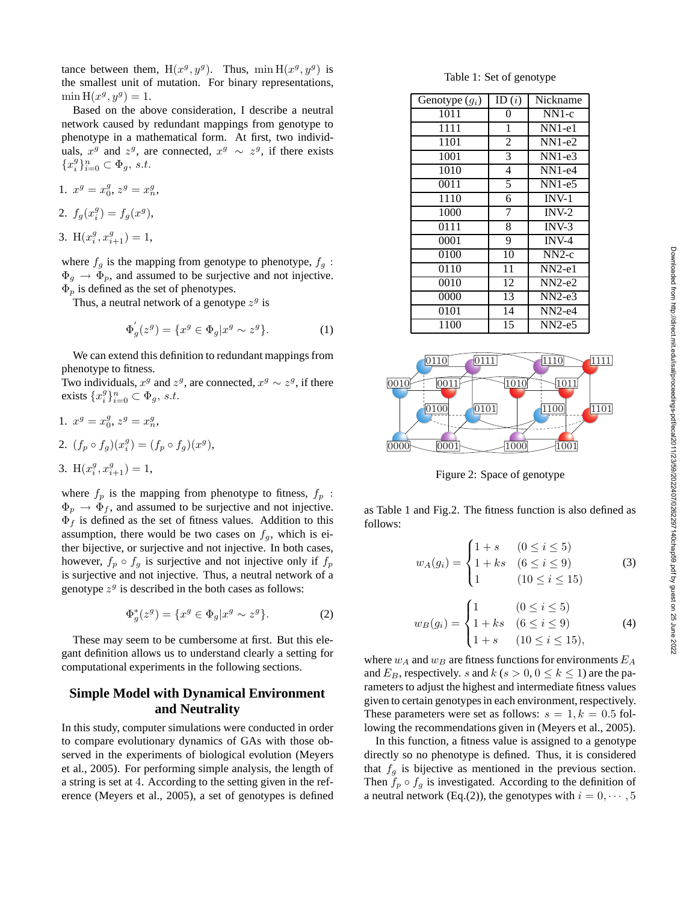tance between them,  $H(x^g, y^g)$ . Thus,  $\min H(x^g, y^g)$  is the smallest unit of mutation. For binary representations,  $\min H(x^g, y^g) = 1.$ 

Based on the above consideration, I describe a neutral network caused by redundant mappings from genotype to phenotype in a mathematical form. At first, two individuals,  $x^g$  and  $z^g$ , are connected,  $x^g \sim z^g$ , if there exists  ${x_i^g}_{i=0}^n \subset \Phi_g$ , s.t.

1. 
$$
x^g = x_0^g, z^g = x_n^g,
$$
  
2.  $f_g(x_i^g) = f_g(x^g),$ 

3. 
$$
H(x_i^g, x_{i+1}^g) = 1
$$
,

where  $f_g$  is the mapping from genotype to phenotype,  $f_g$ :  $\Phi_g \to \Phi_p$ , and assumed to be surjective and not injective.  $\Phi_p$  is defined as the set of phenotypes.

Thus, a neutral network of a genotype  $z<sup>g</sup>$  is

$$
\Phi'_g(z^g) = \{ x^g \in \Phi_g | x^g \sim z^g \}. \tag{1}
$$

We can extend this definition to redundant mappings from phenotype to fitness.

Two individuals,  $x^g$  and  $z^g$ , are connected,  $x^g \sim z^g$ , if there exists  $\{x_i^g\}_{i=0}^n \subset \Phi_g$ , s.t.

1. 
$$
x^g = x_0^g
$$
,  $z^g = x_n^g$ ,  
\n2.  $(f_p \circ f_g)(x_i^g) = (f_p \circ f_g)(x^g)$ ,  
\n3.  $H(x_i^g, x_{i+1}^g) = 1$ ,

where  $f_p$  is the mapping from phenotype to fitness,  $f_p$ :  $\Phi_p \rightarrow \Phi_f$ , and assumed to be surjective and not injective.  $\Phi_f$  is defined as the set of fitness values. Addition to this assumption, there would be two cases on  $f<sub>g</sub>$ , which is either bijective, or surjective and not injective. In both cases, however,  $f_p \circ f_g$  is surjective and not injective only if  $f_p$ is surjective and not injective. Thus, a neutral network of a genotype  $z^g$  is described in the both cases as follows:

$$
\Phi_g^*(z^g) = \{ x^g \in \Phi_g | x^g \sim z^g \}. \tag{2}
$$

These may seem to be cumbersome at first. But this elegant definition allows us to understand clearly a setting for computational experiments in the following sections.

## **Simple Model with Dynamical Environment and Neutrality**

In this study, computer simulations were conducted in order to compare evolutionary dynamics of GAs with those observed in the experiments of biological evolution (Meyers et al., 2005). For performing simple analysis, the length of a string is set at 4. According to the setting given in the reference (Meyers et al., 2005), a set of genotypes is defined

Table 1: Set of genotype

| Genotype $(g_i)$ | ID(i)          | Nickname |
|------------------|----------------|----------|
| 1011             | 0              | $NN1-c$  |
| 1111             | 1              | $NN1-e1$ |
| 1101             | $\overline{2}$ | $NN1-e2$ |
| 1001             | 3              | $NN1-e3$ |
| 1010             | 4              | $NN1-e4$ |
| 0011             | 5              | $NN1-e5$ |
| 1110             | 6              | $INV-1$  |
| 1000             | 7              | $INV-2$  |
| 0111             | 8              | $INV-3$  |
| 0001             | 9              | $INV-4$  |
| 0100             | 10             | $NN2-c$  |
| 0110             | 11             | $NN2-e1$ |
| 0010             | 12             | $NN2-e2$ |
| 0000             | 13             | $NN2-e3$ |
| 0101             | 14             | $NN2-e4$ |
| 1100             | 15             | $NN2-e5$ |



Figure 2: Space of genotype

as Table 1 and Fig.2. The fitness function is also defined as follows:

$$
w_A(g_i) = \begin{cases} 1+s & (0 \le i \le 5) \\ 1+ks & (6 \le i \le 9) \\ 1 & (10 \le i \le 15) \end{cases}
$$
 (3)

$$
w_B(g_i) = \begin{cases} 1 & (0 \le i \le 5) \\ 1 + ks & (6 \le i \le 9) \\ 1 + s & (10 \le i \le 15), \end{cases}
$$
 (4)

where  $w_A$  and  $w_B$  are fitness functions for environments  $E_A$ and  $E_B$ , respectively. s and  $k$  (s > 0, 0  $\leq$  k  $\leq$  1) are the parameters to adjust the highest and intermediate fitness values given to certain genotypes in each environment, respectively. These parameters were set as follows:  $s = 1, k = 0.5$  following the recommendations given in (Meyers et al., 2005).

In this function, a fitness value is assigned to a genotype directly so no phenotype is defined. Thus, it is considered that  $f<sub>g</sub>$  is bijective as mentioned in the previous section. Then  $f_p \circ f_q$  is investigated. According to the definition of a neutral network (Eq.(2)), the genotypes with  $i = 0, \dots, 5$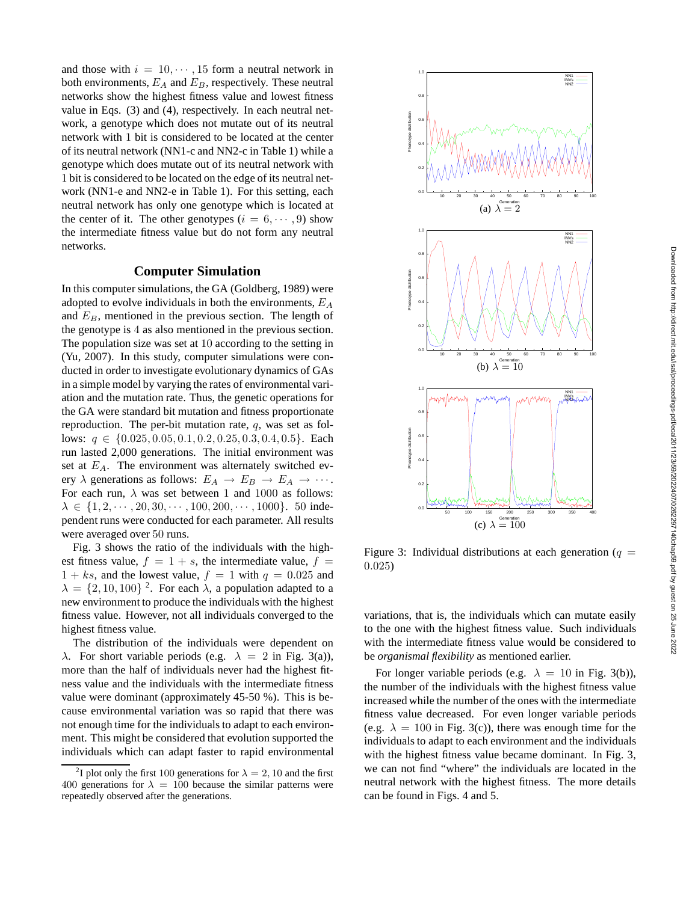and those with  $i = 10, \dots, 15$  form a neutral network in both environments,  $E_A$  and  $E_B$ , respectively. These neutral networks show the highest fitness value and lowest fitness value in Eqs. (3) and (4), respectively. In each neutral network, a genotype which does not mutate out of its neutral network with 1 bit is considered to be located at the center of its neutral network (NN1-c and NN2-c in Table 1) while a genotype which does mutate out of its neutral network with 1 bit is considered to be located on the edge of its neutral network (NN1-e and NN2-e in Table 1). For this setting, each neutral network has only one genotype which is located at the center of it. The other genotypes  $(i = 6, \dots, 9)$  show the intermediate fitness value but do not form any neutral networks.

### **Computer Simulation**

In this computer simulations, the GA (Goldberg, 1989) were adopted to evolve individuals in both the environments,  $E_A$ and  $E_B$ , mentioned in the previous section. The length of the genotype is 4 as also mentioned in the previous section. The population size was set at 10 according to the setting in (Yu, 2007). In this study, computer simulations were conducted in order to investigate evolutionary dynamics of GAs in a simple model by varying the rates of environmental variation and the mutation rate. Thus, the genetic operations for the GA were standard bit mutation and fitness proportionate reproduction. The per-bit mutation rate, q, was set as follows:  $q \in \{0.025, 0.05, 0.1, 0.2, 0.25, 0.3, 0.4, 0.5\}$ . Each run lasted 2,000 generations. The initial environment was set at  $E_A$ . The environment was alternately switched every  $\lambda$  generations as follows:  $E_A \rightarrow E_B \rightarrow E_A \rightarrow \cdots$ . For each run,  $\lambda$  was set between 1 and 1000 as follows:  $\lambda \in \{1, 2, \dots, 20, 30, \dots, 100, 200, \dots, 1000\}$ . 50 independent runs were conducted for each parameter. All results were averaged over 50 runs.

Fig. 3 shows the ratio of the individuals with the highest fitness value,  $f = 1 + s$ , the intermediate value,  $f =$  $1 + ks$ , and the lowest value,  $f = 1$  with  $q = 0.025$  and  $\lambda = \{2, 10, 100\}^2$ . For each  $\lambda$ , a population adapted to a new environment to produce the individuals with the highest fitness value. However, not all individuals converged to the highest fitness value.

The distribution of the individuals were dependent on λ. For short variable periods (e.g.  $\lambda = 2$  in Fig. 3(a)), more than the half of individuals never had the highest fitness value and the individuals with the intermediate fitness value were dominant (approximately 45-50 %). This is because environmental variation was so rapid that there was not enough time for the individuals to adapt to each environment. This might be considered that evolution supported the individuals which can adapt faster to rapid environmental



Figure 3: Individual distributions at each generation ( $q =$ 0.025)

variations, that is, the individuals which can mutate easily to the one with the highest fitness value. Such individuals with the intermediate fitness value would be considered to be *organismal flexibility* as mentioned earlier.

For longer variable periods (e.g.  $\lambda = 10$  in Fig. 3(b)), the number of the individuals with the highest fitness value increased while the number of the ones with the intermediate fitness value decreased. For even longer variable periods (e.g.  $\lambda = 100$  in Fig. 3(c)), there was enough time for the individuals to adapt to each environment and the individuals with the highest fitness value became dominant. In Fig. 3, we can not find "where" the individuals are located in the neutral network with the highest fitness. The more details can be found in Figs. 4 and 5.

<sup>&</sup>lt;sup>2</sup>I plot only the first 100 generations for  $\lambda = 2, 10$  and the first 400 generations for  $\lambda = 100$  because the similar patterns were repeatedly observed after the generations.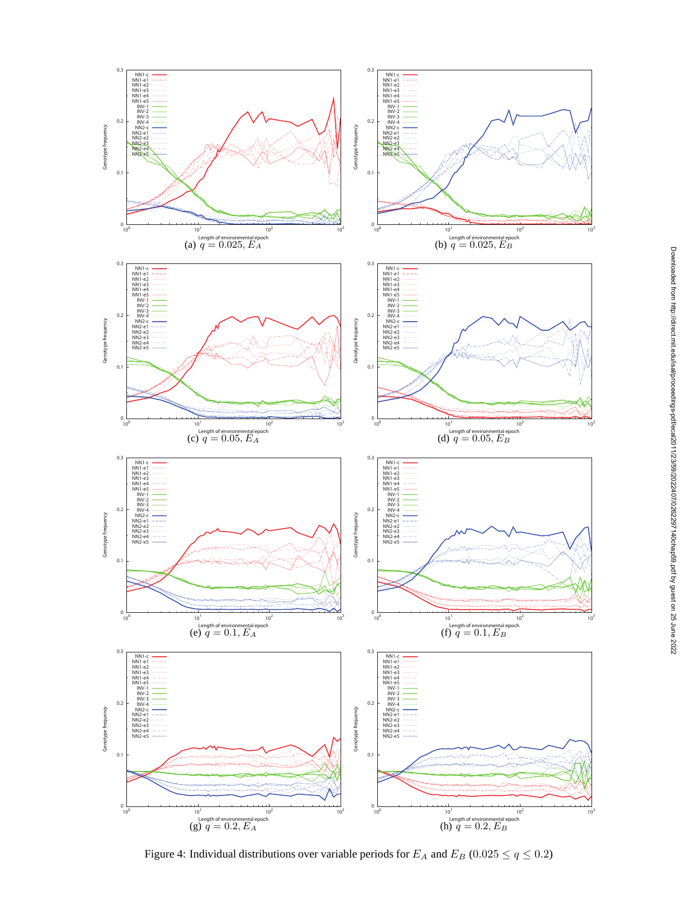

Figure 4: Individual distributions over variable periods for  $E_A$  and  $E_B$  (0.025  $\leq$   $q \leq$  0.2)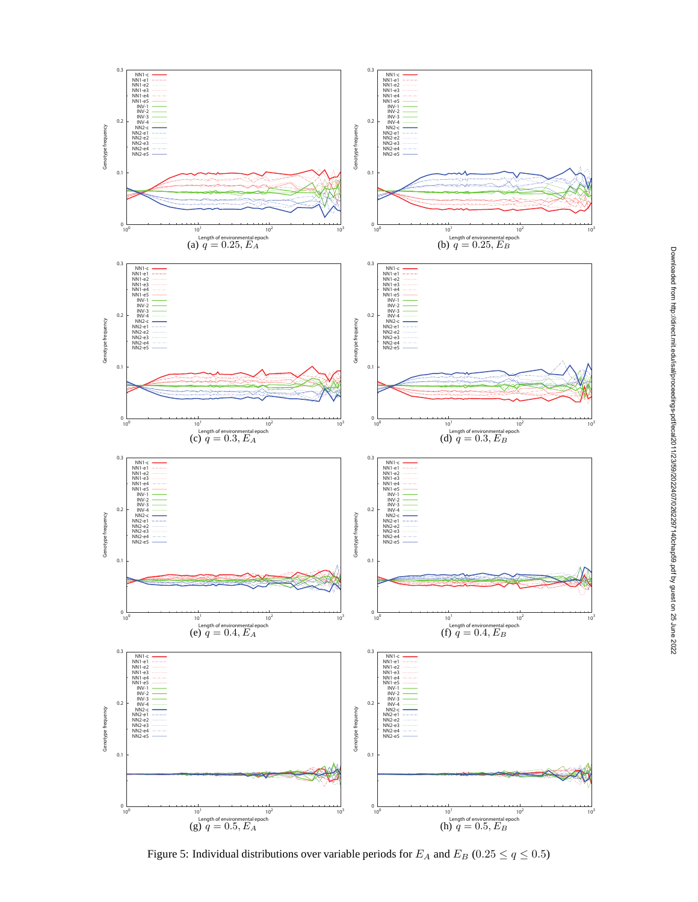

Figure 5: Individual distributions over variable periods for  $E_A$  and  $E_B$  (0.25  $\leq$   $q \leq$  0.5)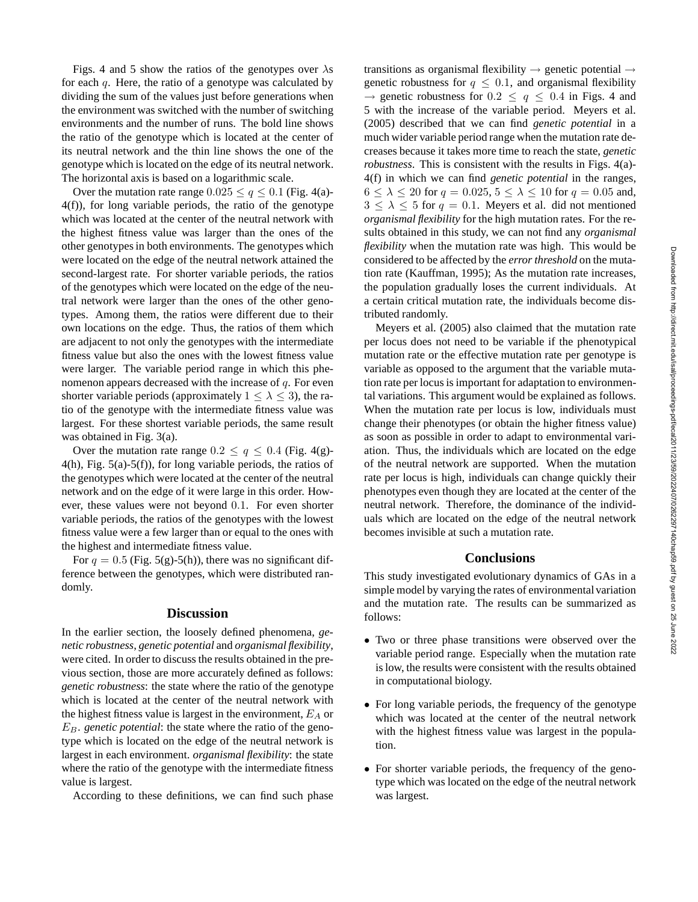Figs. 4 and 5 show the ratios of the genotypes over  $\lambda$ s for each  $q$ . Here, the ratio of a genotype was calculated by dividing the sum of the values just before generations when the environment was switched with the number of switching environments and the number of runs. The bold line shows the ratio of the genotype which is located at the center of its neutral network and the thin line shows the one of the genotype which is located on the edge of its neutral network. The horizontal axis is based on a logarithmic scale.

Over the mutation rate range  $0.025 \le q \le 0.1$  (Fig. 4(a)-4(f)), for long variable periods, the ratio of the genotype which was located at the center of the neutral network with the highest fitness value was larger than the ones of the other genotypes in both environments. The genotypes which were located on the edge of the neutral network attained the second-largest rate. For shorter variable periods, the ratios of the genotypes which were located on the edge of the neutral network were larger than the ones of the other genotypes. Among them, the ratios were different due to their own locations on the edge. Thus, the ratios of them which are adjacent to not only the genotypes with the intermediate fitness value but also the ones with the lowest fitness value were larger. The variable period range in which this phenomenon appears decreased with the increase of  $q$ . For even shorter variable periods (approximately  $1 \leq \lambda \leq 3$ ), the ratio of the genotype with the intermediate fitness value was largest. For these shortest variable periods, the same result was obtained in Fig. 3(a).

Over the mutation rate range  $0.2 \le q \le 0.4$  (Fig. 4(g)-4(h), Fig. 5(a)-5(f)), for long variable periods, the ratios of the genotypes which were located at the center of the neutral network and on the edge of it were large in this order. However, these values were not beyond 0.1. For even shorter variable periods, the ratios of the genotypes with the lowest fitness value were a few larger than or equal to the ones with the highest and intermediate fitness value.

For  $q = 0.5$  (Fig. 5(g)-5(h)), there was no significant difference between the genotypes, which were distributed randomly.

### **Discussion**

In the earlier section, the loosely defined phenomena, *genetic robustness*, *genetic potential* and *organismal flexibility*, were cited. In order to discuss the results obtained in the previous section, those are more accurately defined as follows: *genetic robustness*: the state where the ratio of the genotype which is located at the center of the neutral network with the highest fitness value is largest in the environment,  $E_A$  or  $E_B$ . *genetic potential*: the state where the ratio of the genotype which is located on the edge of the neutral network is largest in each environment. *organismal flexibility*: the state where the ratio of the genotype with the intermediate fitness value is largest.

According to these definitions, we can find such phase

transitions as organismal flexibility  $\rightarrow$  genetic potential  $\rightarrow$ genetic robustness for  $q \leq 0.1$ , and organismal flexibility  $\rightarrow$  genetic robustness for 0.2  $\leq$   $q \leq$  0.4 in Figs. 4 and 5 with the increase of the variable period. Meyers et al. (2005) described that we can find *genetic potential* in a much wider variable period range when the mutation rate decreases because it takes more time to reach the state, *genetic robustness*. This is consistent with the results in Figs. 4(a)-4(f) in which we can find *genetic potential* in the ranges,  $6 < \lambda < 20$  for  $q = 0.025, 5 < \lambda < 10$  for  $q = 0.05$  and,  $3 \leq \lambda \leq 5$  for  $q = 0.1$ . Meyers et al. did not mentioned *organismal flexibility* for the high mutation rates. For the results obtained in this study, we can not find any *organismal flexibility* when the mutation rate was high. This would be considered to be affected by the *error threshold* on the mutation rate (Kauffman, 1995); As the mutation rate increases, the population gradually loses the current individuals. At a certain critical mutation rate, the individuals become distributed randomly.

Meyers et al. (2005) also claimed that the mutation rate per locus does not need to be variable if the phenotypical mutation rate or the effective mutation rate per genotype is variable as opposed to the argument that the variable mutation rate per locus is important for adaptation to environmental variations. This argument would be explained as follows. When the mutation rate per locus is low, individuals must change their phenotypes (or obtain the higher fitness value) as soon as possible in order to adapt to environmental variation. Thus, the individuals which are located on the edge of the neutral network are supported. When the mutation rate per locus is high, individuals can change quickly their phenotypes even though they are located at the center of the neutral network. Therefore, the dominance of the individuals which are located on the edge of the neutral network becomes invisible at such a mutation rate.

### **Conclusions**

This study investigated evolutionary dynamics of GAs in a simple model by varying the rates of environmental variation and the mutation rate. The results can be summarized as follows:

- Two or three phase transitions were observed over the variable period range. Especially when the mutation rate is low, the results were consistent with the results obtained in computational biology.
- For long variable periods, the frequency of the genotype which was located at the center of the neutral network with the highest fitness value was largest in the population.
- For shorter variable periods, the frequency of the genotype which was located on the edge of the neutral network was largest.